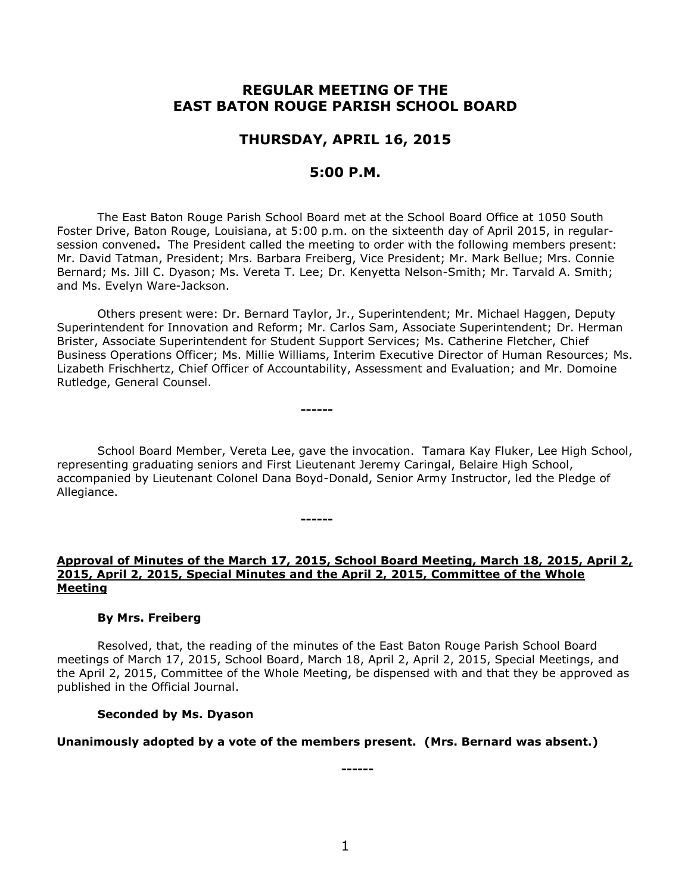# **REGULAR MEETING OF THE EAST BATON ROUGE PARISH SCHOOL BOARD**

# **THURSDAY, APRIL 16, 2015**

# **5:00 P.M.**

The East Baton Rouge Parish School Board met at the School Board Office at 1050 South Foster Drive, Baton Rouge, Louisiana, at 5:00 p.m. on the sixteenth day of April 2015, in regularsession convened**.** The President called the meeting to order with the following members present: Mr. David Tatman, President; Mrs. Barbara Freiberg, Vice President; Mr. Mark Bellue; Mrs. Connie Bernard; Ms. Jill C. Dyason; Ms. Vereta T. Lee; Dr. Kenyetta Nelson-Smith; Mr. Tarvald A. Smith; and Ms. Evelyn Ware-Jackson.

Others present were: Dr. Bernard Taylor, Jr., Superintendent; Mr. Michael Haggen, Deputy Superintendent for Innovation and Reform; Mr. Carlos Sam, Associate Superintendent; Dr. Herman Brister, Associate Superintendent for Student Support Services; Ms. Catherine Fletcher, Chief Business Operations Officer; Ms. Millie Williams, Interim Executive Director of Human Resources; Ms. Lizabeth Frischhertz, Chief Officer of Accountability, Assessment and Evaluation; and Mr. Domoine Rutledge, General Counsel.

**------**

**------**

School Board Member, Vereta Lee, gave the invocation. Tamara Kay Fluker, Lee High School, representing graduating seniors and First Lieutenant Jeremy Caringal, Belaire High School, accompanied by Lieutenant Colonel Dana Boyd-Donald, Senior Army Instructor, led the Pledge of Allegiance.

#### **Approval of Minutes of the March 17, 2015, School Board Meeting, March 18, 2015, April 2, 2015, April 2, 2015, Special Minutes and the April 2, 2015, Committee of the Whole Meeting**

#### **By Mrs. Freiberg**

Resolved, that, the reading of the minutes of the East Baton Rouge Parish School Board meetings of March 17, 2015, School Board, March 18, April 2, April 2, 2015, Special Meetings, and the April 2, 2015, Committee of the Whole Meeting, be dispensed with and that they be approved as published in the Official Journal.

#### **Seconded by Ms. Dyason**

### **Unanimously adopted by a vote of the members present. (Mrs. Bernard was absent.)**

1

**------**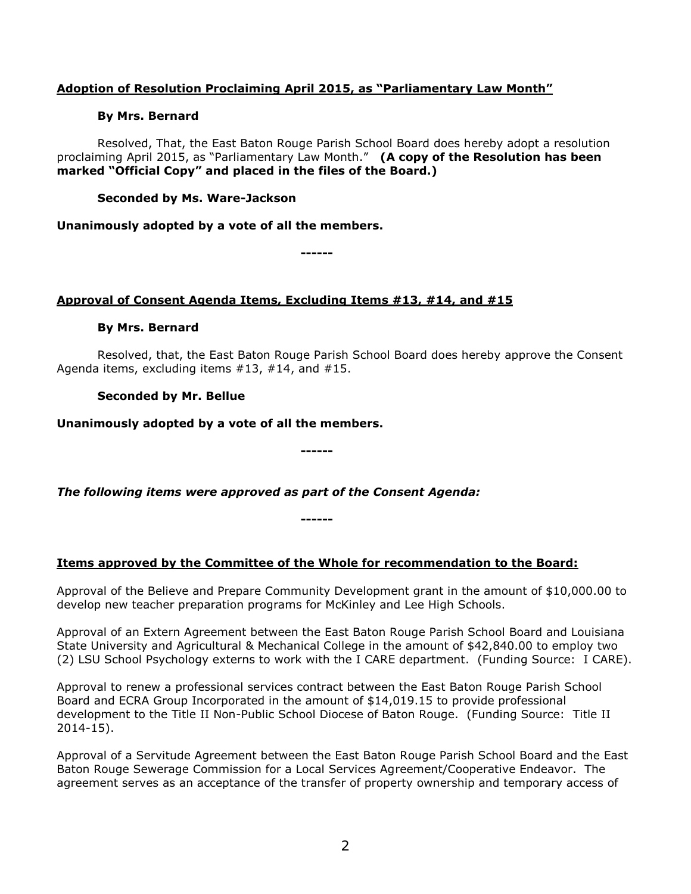## **Adoption of Resolution Proclaiming April 2015, as "Parliamentary Law Month"**

### **By Mrs. Bernard**

Resolved, That, the East Baton Rouge Parish School Board does hereby adopt a resolution proclaiming April 2015, as "Parliamentary Law Month." **(A copy of the Resolution has been marked "Official Copy" and placed in the files of the Board.)**

## **Seconded by Ms. Ware-Jackson**

### **Unanimously adopted by a vote of all the members.**

**------**

## **Approval of Consent Agenda Items, Excluding Items #13, #14, and #15**

## **By Mrs. Bernard**

Resolved, that, the East Baton Rouge Parish School Board does hereby approve the Consent Agenda items, excluding items #13, #14, and #15.

## **Seconded by Mr. Bellue**

**Unanimously adopted by a vote of all the members.**

*The following items were approved as part of the Consent Agenda:*

# **Items approved by the Committee of the Whole for recommendation to the Board:**

**------**

**------**

Approval of the Believe and Prepare Community Development grant in the amount of \$10,000.00 to develop new teacher preparation programs for McKinley and Lee High Schools.

Approval of an Extern Agreement between the East Baton Rouge Parish School Board and Louisiana State University and Agricultural & Mechanical College in the amount of \$42,840.00 to employ two (2) LSU School Psychology externs to work with the I CARE department. (Funding Source: I CARE).

Approval to renew a professional services contract between the East Baton Rouge Parish School Board and ECRA Group Incorporated in the amount of \$14,019.15 to provide professional development to the Title II Non-Public School Diocese of Baton Rouge. (Funding Source: Title II 2014-15).

Approval of a Servitude Agreement between the East Baton Rouge Parish School Board and the East Baton Rouge Sewerage Commission for a Local Services Agreement/Cooperative Endeavor. The agreement serves as an acceptance of the transfer of property ownership and temporary access of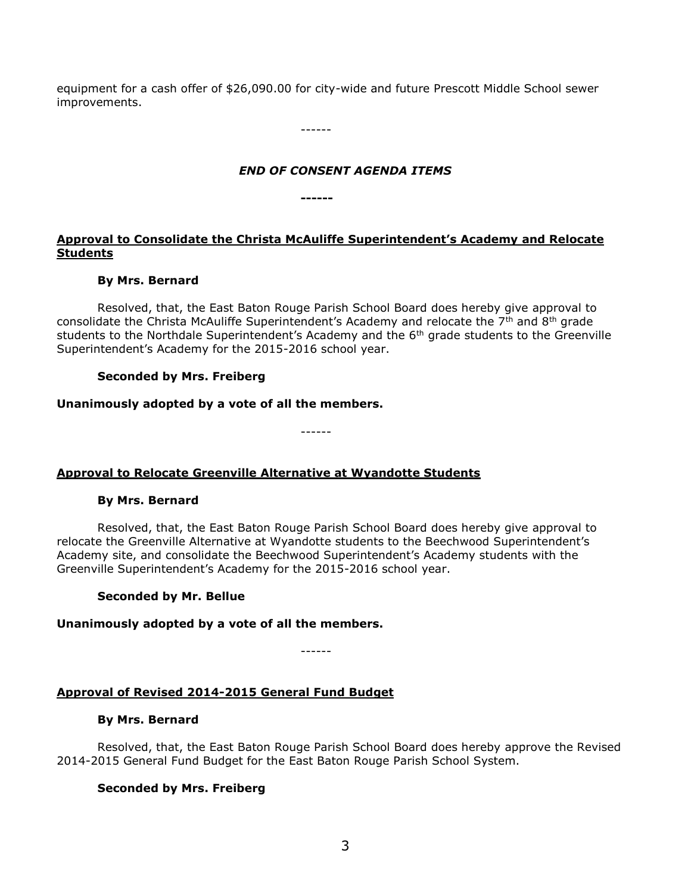equipment for a cash offer of \$26,090.00 for city-wide and future Prescott Middle School sewer improvements.

------

## *END OF CONSENT AGENDA ITEMS*

**------**

# **Approval to Consolidate the Christa McAuliffe Superintendent's Academy and Relocate Students**

## **By Mrs. Bernard**

Resolved, that, the East Baton Rouge Parish School Board does hereby give approval to consolidate the Christa McAuliffe Superintendent's Academy and relocate the  $7<sup>th</sup>$  and  $8<sup>th</sup>$  grade students to the Northdale Superintendent's Academy and the 6<sup>th</sup> grade students to the Greenville Superintendent's Academy for the 2015-2016 school year.

## **Seconded by Mrs. Freiberg**

## **Unanimously adopted by a vote of all the members.**

------

# **Approval to Relocate Greenville Alternative at Wyandotte Students**

### **By Mrs. Bernard**

Resolved, that, the East Baton Rouge Parish School Board does hereby give approval to relocate the Greenville Alternative at Wyandotte students to the Beechwood Superintendent's Academy site, and consolidate the Beechwood Superintendent's Academy students with the Greenville Superintendent's Academy for the 2015-2016 school year.

### **Seconded by Mr. Bellue**

### **Unanimously adopted by a vote of all the members.**

------

# **Approval of Revised 2014-2015 General Fund Budget**

### **By Mrs. Bernard**

Resolved, that, the East Baton Rouge Parish School Board does hereby approve the Revised 2014-2015 General Fund Budget for the East Baton Rouge Parish School System.

### **Seconded by Mrs. Freiberg**